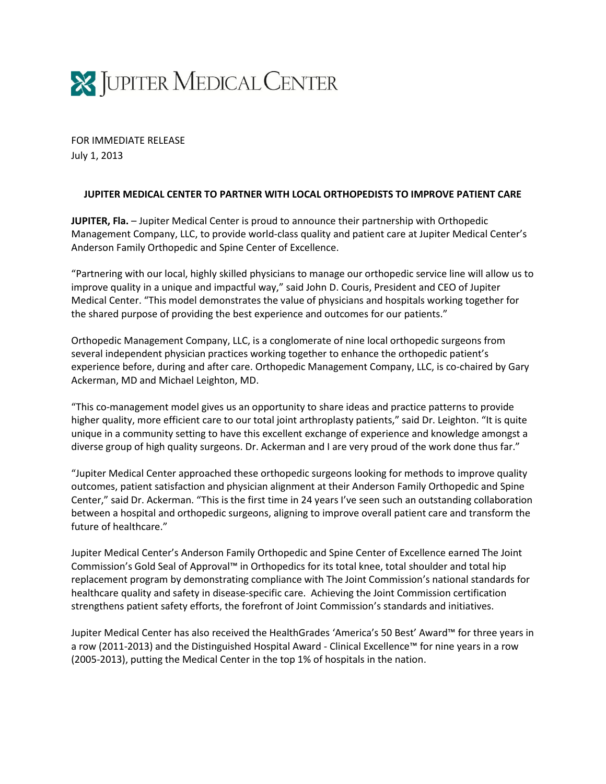

FOR IMMEDIATE RELEASE July 1, 2013

## **JUPITER MEDICAL CENTER TO PARTNER WITH LOCAL ORTHOPEDISTS TO IMPROVE PATIENT CARE**

**JUPITER, Fla.** – Jupiter Medical Center is proud to announce their partnership with Orthopedic Management Company, LLC, to provide world-class quality and patient care at Jupiter Medical Center's Anderson Family Orthopedic and Spine Center of Excellence.

"Partnering with our local, highly skilled physicians to manage our orthopedic service line will allow us to improve quality in a unique and impactful way," said John D. Couris, President and CEO of Jupiter Medical Center. "This model demonstrates the value of physicians and hospitals working together for the shared purpose of providing the best experience and outcomes for our patients."

Orthopedic Management Company, LLC, is a conglomerate of nine local orthopedic surgeons from several independent physician practices working together to enhance the orthopedic patient's experience before, during and after care. Orthopedic Management Company, LLC, is co-chaired by Gary Ackerman, MD and Michael Leighton, MD.

"This co-management model gives us an opportunity to share ideas and practice patterns to provide higher quality, more efficient care to our total joint arthroplasty patients," said Dr. Leighton. "It is quite unique in a community setting to have this excellent exchange of experience and knowledge amongst a diverse group of high quality surgeons. Dr. Ackerman and I are very proud of the work done thus far."

"Jupiter Medical Center approached these orthopedic surgeons looking for methods to improve quality outcomes, patient satisfaction and physician alignment at their Anderson Family Orthopedic and Spine Center," said Dr. Ackerman. "This is the first time in 24 years I've seen such an outstanding collaboration between a hospital and orthopedic surgeons, aligning to improve overall patient care and transform the future of healthcare."

Jupiter Medical Center's Anderson Family Orthopedic and Spine Center of Excellence earned The Joint Commission's Gold Seal of Approval™ in Orthopedics for its total knee, total shoulder and total hip replacement program by demonstrating compliance with The Joint Commission's national standards for healthcare quality and safety in disease-specific care. Achieving the Joint Commission certification strengthens patient safety efforts, the forefront of Joint Commission's standards and initiatives.

Jupiter Medical Center has also received the HealthGrades 'America's 50 Best' Award™ for three years in a row (2011-2013) and the Distinguished Hospital Award - Clinical Excellence™ for nine years in a row (2005-2013), putting the Medical Center in the top 1% of hospitals in the nation.